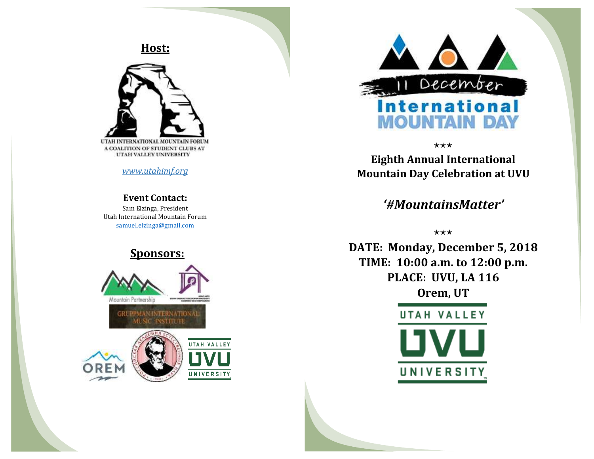**Host:**



*[www.utahimf.org](http://www.utahimf.org/)*

#### **Event Contact:**

Sam Elzinga, President Utah International Mountain Forum [samuel.elzinga@gmail.com](mailto:samuel.elzinga@gmail.com)

### **Sponsors:**





⋆⋆⋆

**Eighth Annual International Mountain Day Celebration at UVU**

## *'#MountainsMatter'*

⋆⋆⋆

**DATE: Monday, December 5, 2018 TIME: 10:00 a.m. to 12:00 p.m. PLACE: UVU, LA 116 Orem, UT**